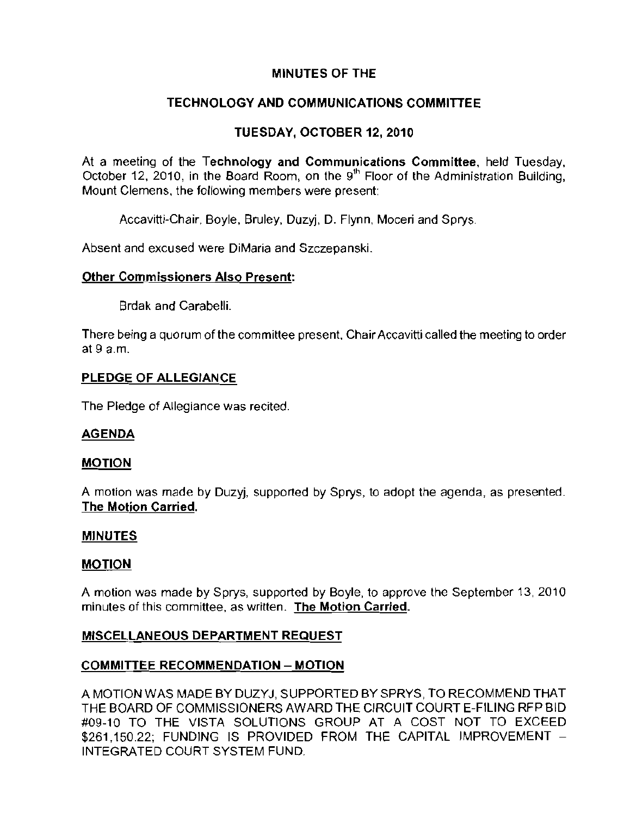# **MINUTES OF THE**

# **TECHNOLOGY AND COMMUNICATIONS COMMITTEE**

# **TUESDAY, OCTOBER** 12, **2010**

At a meeting of the Technology **and** Communications Committee, held Tuesday, October 12, 2010, in the Board Room, on the 9'h Floor of the Administration Building, **Mount Clemens, the following members were present:** 

Accavitti-Chair, Boyle, Bruley, Duzyj, D. Flynn, Moceri and Sprys.

**Absent and excused were DiMaria and Szczepanski.** 

### **Other Commissioners Also Present:**

Brdak and Carabelli.

**There being a quorum of the committee present, Chair Accavitti called the meeting to order**  at 9 a.m.

### **PLEDGE OF ALLEGIANCE**

The Pledge of Allegiance was recited.

## **AGENDA**

### **MOTION**

A motion was made by Duzyj, supported by Sprys, to adopt the agenda, as presented. The Motion Carried,

### **MINUTES**

### **MOTION**

A motion was made by Sprys, supported by Boyle, to approve the September 13, 2010 **minutes of this committee, as written. The Motion Carried.** 

## **MISCELLANEOUS DEPARTMENT REQUEST**

### **COMMITTEE RECOMMENDATION - MOTION**

A MOTION WAS MADE BY DUZYJ, SUPPORTED BY SPRYS, TO RECOMMEND **THAT THE** BOARD OF COMMISSIONERS AWARD **THE** CIRCUIT COURT E-FILING RFP BID #09-10 TO **THE** VISTA SOLUTIONS GROUP AT A COST NOT TO EXCEED \$261,150.22; FUNDING IS PROVIDED FROM THE CAPITAL IMPROVEMENT -INTEGRATED COURT SYSTEM FUND.